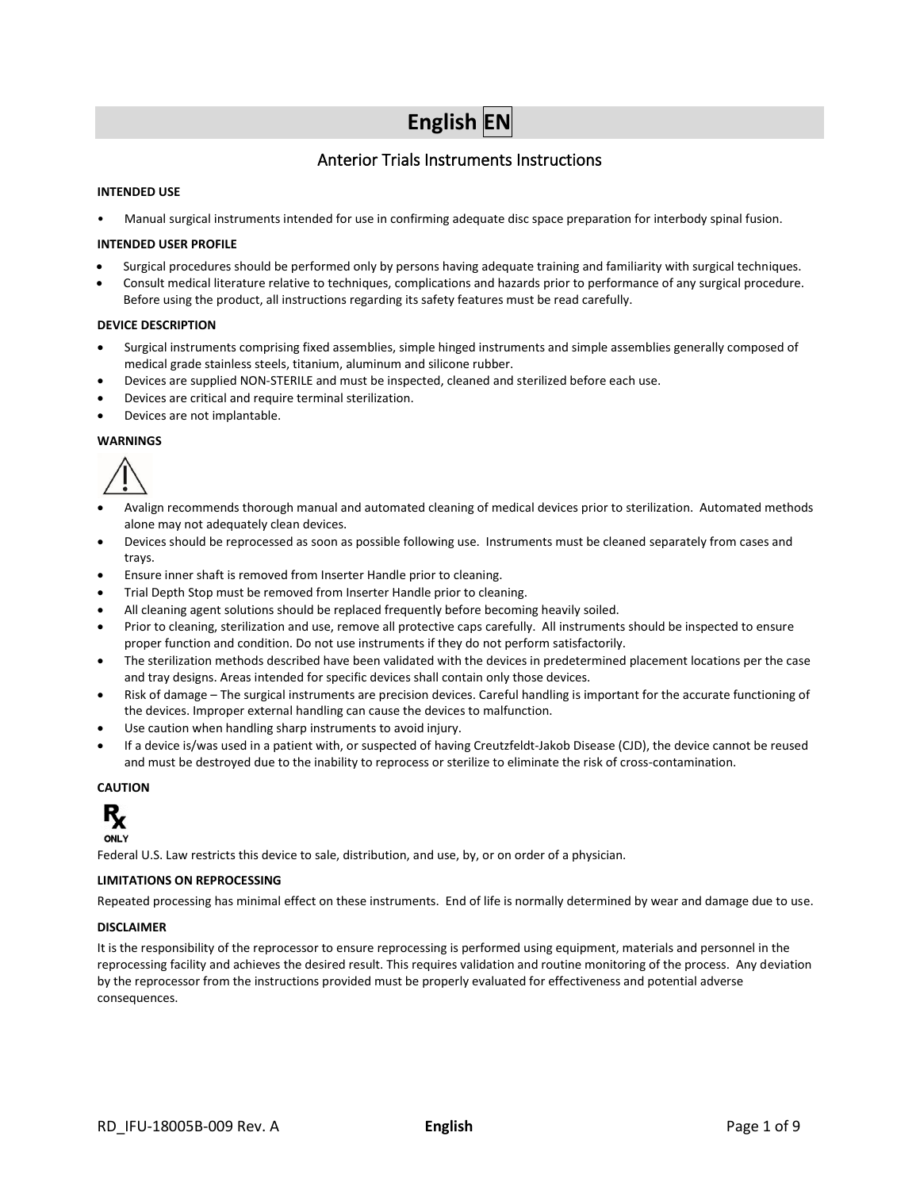# **English EN**

# Anterior Trials Instruments Instructions

# **INTENDED USE**

• Manual surgical instruments intended for use in confirming adequate disc space preparation for interbody spinal fusion.

## **INTENDED USER PROFILE**

- Surgical procedures should be performed only by persons having adequate training and familiarity with surgical techniques.
- Consult medical literature relative to techniques, complications and hazards prior to performance of any surgical procedure. Before using the product, all instructions regarding its safety features must be read carefully.

#### **DEVICE DESCRIPTION**

- Surgical instruments comprising fixed assemblies, simple hinged instruments and simple assemblies generally composed of medical grade stainless steels, titanium, aluminum and silicone rubber.
- Devices are supplied NON-STERILE and must be inspected, cleaned and sterilized before each use.
- Devices are critical and require terminal sterilization.
- Devices are not implantable.

#### **WARNINGS**



- Avalign recommends thorough manual and automated cleaning of medical devices prior to sterilization. Automated methods alone may not adequately clean devices.
- Devices should be reprocessed as soon as possible following use. Instruments must be cleaned separately from cases and trays.
- Ensure inner shaft is removed from Inserter Handle prior to cleaning.
- Trial Depth Stop must be removed from Inserter Handle prior to cleaning.
- All cleaning agent solutions should be replaced frequently before becoming heavily soiled.
- Prior to cleaning, sterilization and use, remove all protective caps carefully. All instruments should be inspected to ensure proper function and condition. Do not use instruments if they do not perform satisfactorily.
- The sterilization methods described have been validated with the devices in predetermined placement locations per the case and tray designs. Areas intended for specific devices shall contain only those devices.
- Risk of damage The surgical instruments are precision devices. Careful handling is important for the accurate functioning of the devices. Improper external handling can cause the devices to malfunction.
- Use caution when handling sharp instruments to avoid injury.
- If a device is/was used in a patient with, or suspected of having Creutzfeldt-Jakob Disease (CJD), the device cannot be reused and must be destroyed due to the inability to reprocess or sterilize to eliminate the risk of cross-contamination.

# **CAUTION**



Federal U.S. Law restricts this device to sale, distribution, and use, by, or on order of a physician.

#### **LIMITATIONS ON REPROCESSING**

Repeated processing has minimal effect on these instruments. End of life is normally determined by wear and damage due to use.

#### **DISCLAIMER**

It is the responsibility of the reprocessor to ensure reprocessing is performed using equipment, materials and personnel in the reprocessing facility and achieves the desired result. This requires validation and routine monitoring of the process. Any deviation by the reprocessor from the instructions provided must be properly evaluated for effectiveness and potential adverse consequences.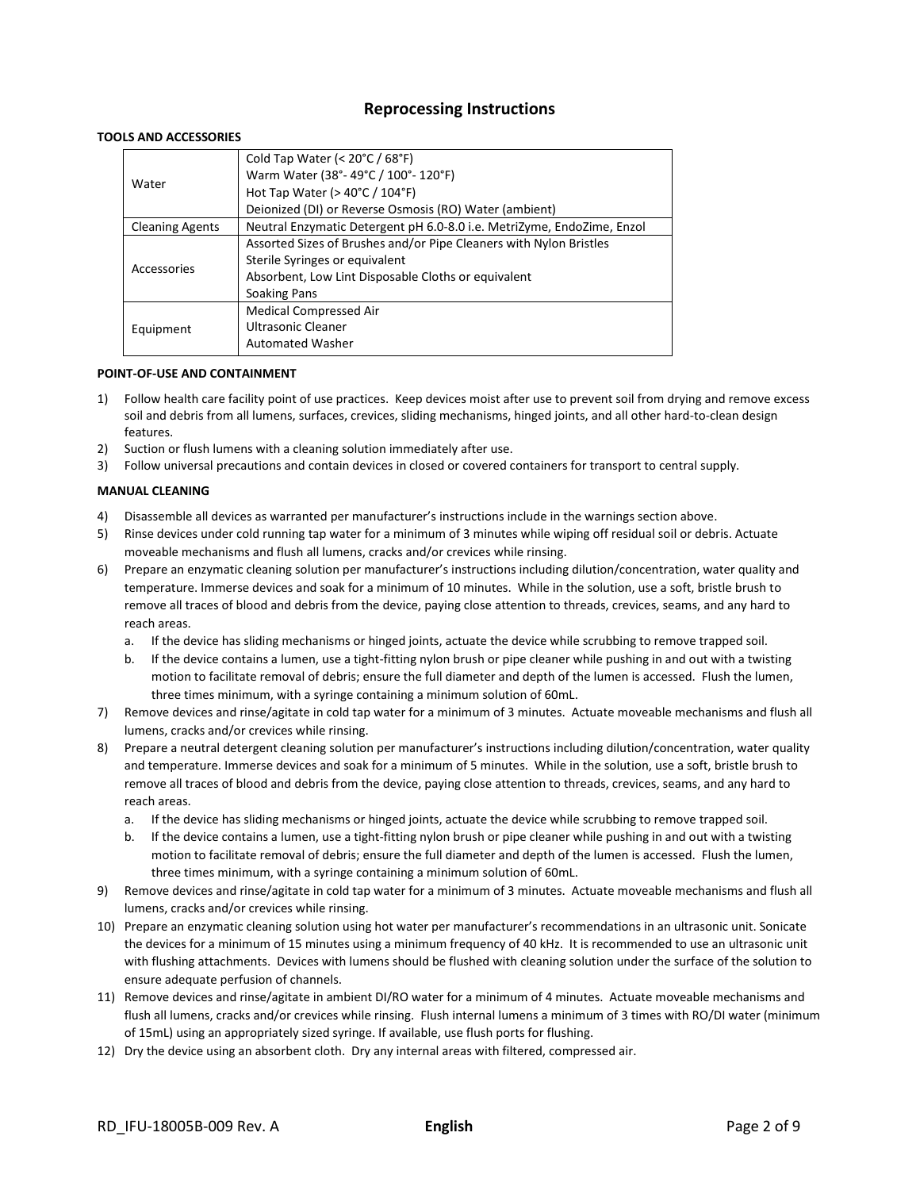# **Reprocessing Instructions**

# **TOOLS AND ACCESSORIES**

|                        | Cold Tap Water (< $20^{\circ}$ C / $68^{\circ}$ F)                     |
|------------------------|------------------------------------------------------------------------|
| Water                  | Warm Water (38°-49°C / 100°-120°F)                                     |
|                        | Hot Tap Water ( $>$ 40 $^{\circ}$ C / 104 $^{\circ}$ F)                |
|                        | Deionized (DI) or Reverse Osmosis (RO) Water (ambient)                 |
| <b>Cleaning Agents</b> | Neutral Enzymatic Detergent pH 6.0-8.0 i.e. MetriZyme, EndoZime, Enzol |
|                        | Assorted Sizes of Brushes and/or Pipe Cleaners with Nylon Bristles     |
| Accessories            | Sterile Syringes or equivalent                                         |
|                        | Absorbent, Low Lint Disposable Cloths or equivalent                    |
|                        | Soaking Pans                                                           |
|                        | <b>Medical Compressed Air</b>                                          |
| Equipment              | Ultrasonic Cleaner                                                     |
|                        | <b>Automated Washer</b>                                                |

#### **POINT-OF-USE AND CONTAINMENT**

- 1) Follow health care facility point of use practices. Keep devices moist after use to prevent soil from drying and remove excess soil and debris from all lumens, surfaces, crevices, sliding mechanisms, hinged joints, and all other hard-to-clean design features.
- 2) Suction or flush lumens with a cleaning solution immediately after use.
- 3) Follow universal precautions and contain devices in closed or covered containers for transport to central supply.

# **MANUAL CLEANING**

- 4) Disassemble all devices as warranted per manufacturer's instructions include in the warnings section above.
- 5) Rinse devices under cold running tap water for a minimum of 3 minutes while wiping off residual soil or debris. Actuate moveable mechanisms and flush all lumens, cracks and/or crevices while rinsing.
- 6) Prepare an enzymatic cleaning solution per manufacturer's instructions including dilution/concentration, water quality and temperature. Immerse devices and soak for a minimum of 10 minutes. While in the solution, use a soft, bristle brush to remove all traces of blood and debris from the device, paying close attention to threads, crevices, seams, and any hard to reach areas.
	- a. If the device has sliding mechanisms or hinged joints, actuate the device while scrubbing to remove trapped soil.
	- b. If the device contains a lumen, use a tight-fitting nylon brush or pipe cleaner while pushing in and out with a twisting motion to facilitate removal of debris; ensure the full diameter and depth of the lumen is accessed. Flush the lumen, three times minimum, with a syringe containing a minimum solution of 60mL.
- 7) Remove devices and rinse/agitate in cold tap water for a minimum of 3 minutes. Actuate moveable mechanisms and flush all lumens, cracks and/or crevices while rinsing.
- 8) Prepare a neutral detergent cleaning solution per manufacturer's instructions including dilution/concentration, water quality and temperature. Immerse devices and soak for a minimum of 5 minutes. While in the solution, use a soft, bristle brush to remove all traces of blood and debris from the device, paying close attention to threads, crevices, seams, and any hard to reach areas.
	- a. If the device has sliding mechanisms or hinged joints, actuate the device while scrubbing to remove trapped soil.
	- b. If the device contains a lumen, use a tight-fitting nylon brush or pipe cleaner while pushing in and out with a twisting motion to facilitate removal of debris; ensure the full diameter and depth of the lumen is accessed. Flush the lumen, three times minimum, with a syringe containing a minimum solution of 60mL.
- 9) Remove devices and rinse/agitate in cold tap water for a minimum of 3 minutes. Actuate moveable mechanisms and flush all lumens, cracks and/or crevices while rinsing.
- 10) Prepare an enzymatic cleaning solution using hot water per manufacturer's recommendations in an ultrasonic unit. Sonicate the devices for a minimum of 15 minutes using a minimum frequency of 40 kHz. It is recommended to use an ultrasonic unit with flushing attachments. Devices with lumens should be flushed with cleaning solution under the surface of the solution to ensure adequate perfusion of channels.
- 11) Remove devices and rinse/agitate in ambient DI/RO water for a minimum of 4 minutes. Actuate moveable mechanisms and flush all lumens, cracks and/or crevices while rinsing. Flush internal lumens a minimum of 3 times with RO/DI water (minimum of 15mL) using an appropriately sized syringe. If available, use flush ports for flushing.
- 12) Dry the device using an absorbent cloth. Dry any internal areas with filtered, compressed air.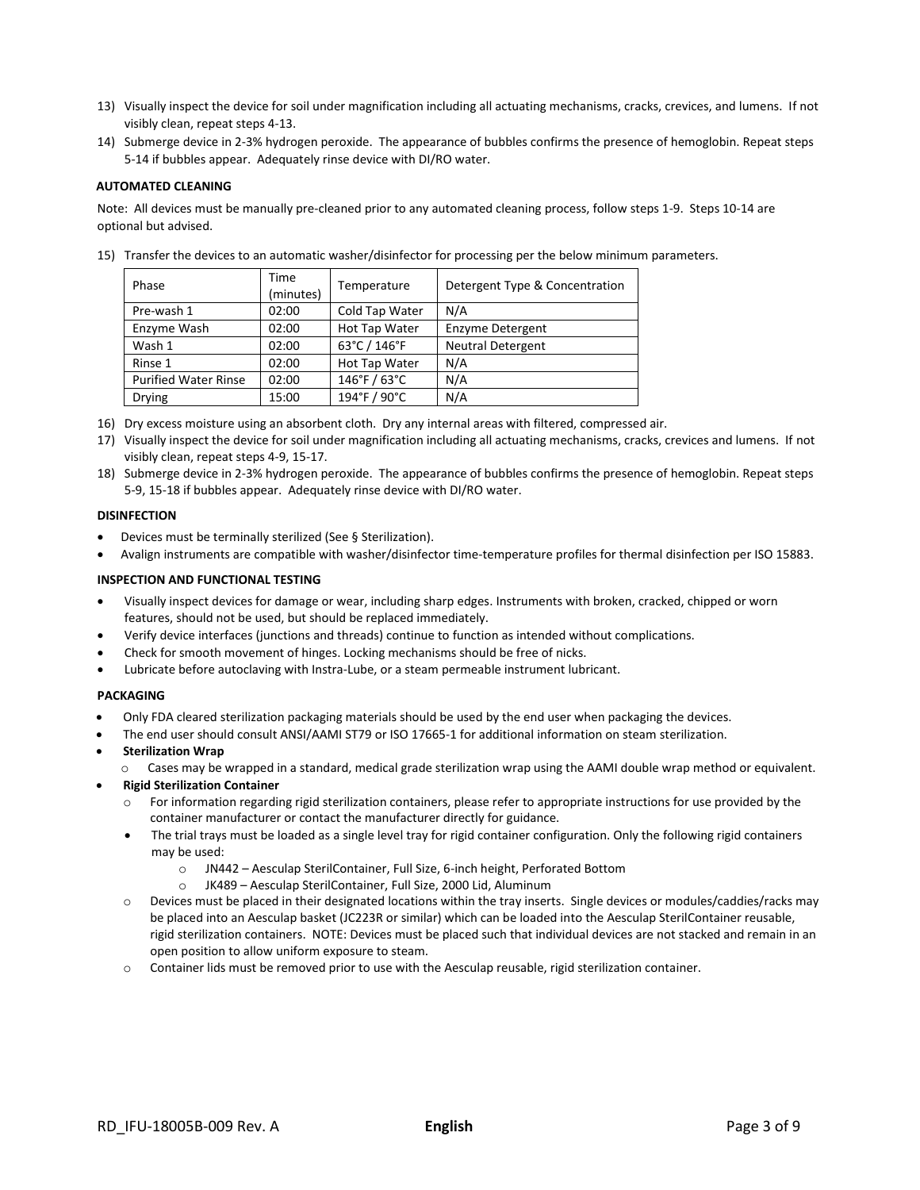- 13) Visually inspect the device for soil under magnification including all actuating mechanisms, cracks, crevices, and lumens. If not visibly clean, repeat steps 4-13.
- 14) Submerge device in 2-3% hydrogen peroxide. The appearance of bubbles confirms the presence of hemoglobin. Repeat steps 5-14 if bubbles appear. Adequately rinse device with DI/RO water.

# **AUTOMATED CLEANING**

Note: All devices must be manually pre-cleaned prior to any automated cleaning process, follow steps 1-9. Steps 10-14 are optional but advised.

| Phase                       | Time<br>(minutes) | Temperature     | Detergent Type & Concentration |
|-----------------------------|-------------------|-----------------|--------------------------------|
| Pre-wash 1                  | 02:00             | Cold Tap Water  | N/A                            |
| Enzyme Wash                 | 02:00             | Hot Tap Water   | Enzyme Detergent               |
| Wash 1                      | 02:00             | 63°C / 146°F    | <b>Neutral Detergent</b>       |
| Rinse 1                     | 02:00             | Hot Tap Water   | N/A                            |
| <b>Purified Water Rinse</b> | 02:00             | $146°$ F / 63°C | N/A                            |
| <b>Drying</b>               | 15:00             | 194°F / 90°C    | N/A                            |

15) Transfer the devices to an automatic washer/disinfector for processing per the below minimum parameters.

- 16) Dry excess moisture using an absorbent cloth. Dry any internal areas with filtered, compressed air.
- 17) Visually inspect the device for soil under magnification including all actuating mechanisms, cracks, crevices and lumens. If not visibly clean, repeat steps 4-9, 15-17.
- 18) Submerge device in 2-3% hydrogen peroxide. The appearance of bubbles confirms the presence of hemoglobin. Repeat steps 5-9, 15-18 if bubbles appear. Adequately rinse device with DI/RO water.

#### **DISINFECTION**

- Devices must be terminally sterilized (See § Sterilization).
- Avalign instruments are compatible with washer/disinfector time-temperature profiles for thermal disinfection per ISO 15883.

# **INSPECTION AND FUNCTIONAL TESTING**

- Visually inspect devices for damage or wear, including sharp edges. Instruments with broken, cracked, chipped or worn features, should not be used, but should be replaced immediately.
- Verify device interfaces (junctions and threads) continue to function as intended without complications.
- Check for smooth movement of hinges. Locking mechanisms should be free of nicks.
- Lubricate before autoclaving with Instra-Lube, or a steam permeable instrument lubricant.

#### **PACKAGING**

- Only FDA cleared sterilization packaging materials should be used by the end user when packaging the devices.
- The end user should consult ANSI/AAMI ST79 or ISO 17665-1 for additional information on steam sterilization.
- **Sterilization Wrap**
	- Cases may be wrapped in a standard, medical grade sterilization wrap using the AAMI double wrap method or equivalent.
- **Rigid Sterilization Container**
	- For information regarding rigid sterilization containers, please refer to appropriate instructions for use provided by the container manufacturer or contact the manufacturer directly for guidance.
	- The trial trays must be loaded as a single level tray for rigid container configuration. Only the following rigid containers may be used:
		- o JN442 Aesculap SterilContainer, Full Size, 6-inch height, Perforated Bottom
		- o JK489 Aesculap SterilContainer, Full Size, 2000 Lid, Aluminum
	- o Devices must be placed in their designated locations within the tray inserts. Single devices or modules/caddies/racks may be placed into an Aesculap basket (JC223R or similar) which can be loaded into the Aesculap SterilContainer reusable, rigid sterilization containers. NOTE: Devices must be placed such that individual devices are not stacked and remain in an open position to allow uniform exposure to steam.
	- o Container lids must be removed prior to use with the Aesculap reusable, rigid sterilization container.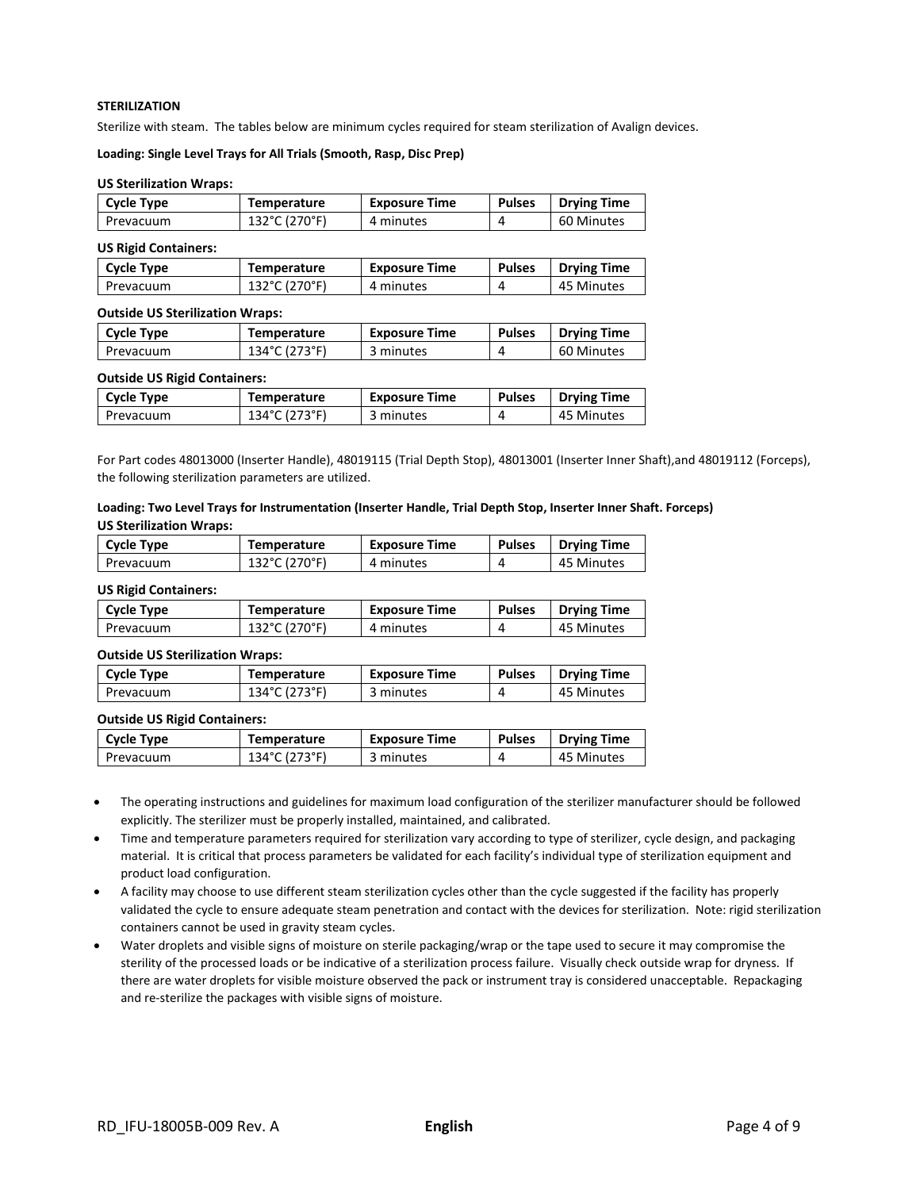# **STERILIZATION**

Sterilize with steam. The tables below are minimum cycles required for steam sterilization of Avalign devices.

#### **Loading: Single Level Trays for All Trials (Smooth, Rasp, Disc Prep)**

#### **US Sterilization Wraps:**

| <b>Cycle Type</b> | Temperature   | <b>Exposure Time</b> | <b>Pulses</b> | <b>Drying Time</b> |
|-------------------|---------------|----------------------|---------------|--------------------|
| Prevacuum         | 132°C (270°F) | 4 minutes            |               | 60 Minutes         |

# **US Rigid Containers:**

| Cycle Type | Temperature   | <b>Exposure Time</b> | Pulses | <b>Drying Time</b> |
|------------|---------------|----------------------|--------|--------------------|
| Prevacuum  | 132°C (270°F) | 4 minutes            |        | 45 Minutes         |

#### **Outside US Sterilization Wraps:**

| <b>Cycle Type</b> | Temperature   | <b>Exposure Time</b> | <b>Pulses</b> | <b>Drying Time</b> |
|-------------------|---------------|----------------------|---------------|--------------------|
| Prevacuum         | 134°C (273°F) | 3 minutes            |               | 60 Minutes         |

#### **Outside US Rigid Containers:**

| <b>Cycle Type</b> | <b>Temperature</b> | <b>Exposure Time</b> | <b>Pulses</b> | <b>Drying Time</b> |
|-------------------|--------------------|----------------------|---------------|--------------------|
| Prevacuum         | 134°C (273°F)      | 3 minutes            |               | 45 Minutes         |

For Part codes 48013000 (Inserter Handle), 48019115 (Trial Depth Stop), 48013001 (Inserter Inner Shaft),and 48019112 (Forceps), the following sterilization parameters are utilized.

## **Loading: Two Level Trays for Instrumentation (Inserter Handle, Trial Depth Stop, Inserter Inner Shaft. Forceps) US Sterilization Wraps:**

| <b>Cycle Type</b> | <b>Temperature</b> | Exposure Time | <b>Pulses</b> | <b>Drying Time</b> |
|-------------------|--------------------|---------------|---------------|--------------------|
| Prevacuum         | 132°C (270°F)      | 4 minutes     |               | 45 Minutes         |

#### **US Rigid Containers:**

| <b>Cycle Type</b> | Temperature   | <b>Exposure Time</b> | <b>Pulses</b> | <b>Drying Time</b> |
|-------------------|---------------|----------------------|---------------|--------------------|
| Prevacuum         | 132°C (270°F) | 4 minutes            |               | 45 Minutes         |

#### **Outside US Sterilization Wraps:**

| <b>Cycle Type</b> | Temperature   | <b>Exposure Time</b> | <b>Pulses</b> | <b>Drying Time</b> |
|-------------------|---------------|----------------------|---------------|--------------------|
| Prevacuum         | 134°C (273°F) | 3 minutes            |               | 45 Minutes         |

#### **Outside US Rigid Containers:**

| <b>Cycle Type</b> | <b>Temperature</b> | <b>Exposure Time</b> | <b>Pulses</b> | <b>Drying Time</b> |
|-------------------|--------------------|----------------------|---------------|--------------------|
| Prevacuum         | 134°C (273°F)      | 3 minutes            |               | 45 Minutes         |

• The operating instructions and guidelines for maximum load configuration of the sterilizer manufacturer should be followed explicitly. The sterilizer must be properly installed, maintained, and calibrated.

- Time and temperature parameters required for sterilization vary according to type of sterilizer, cycle design, and packaging material. It is critical that process parameters be validated for each facility's individual type of sterilization equipment and product load configuration.
- A facility may choose to use different steam sterilization cycles other than the cycle suggested if the facility has properly validated the cycle to ensure adequate steam penetration and contact with the devices for sterilization. Note: rigid sterilization containers cannot be used in gravity steam cycles.
- Water droplets and visible signs of moisture on sterile packaging/wrap or the tape used to secure it may compromise the sterility of the processed loads or be indicative of a sterilization process failure. Visually check outside wrap for dryness. If there are water droplets for visible moisture observed the pack or instrument tray is considered unacceptable. Repackaging and re-sterilize the packages with visible signs of moisture.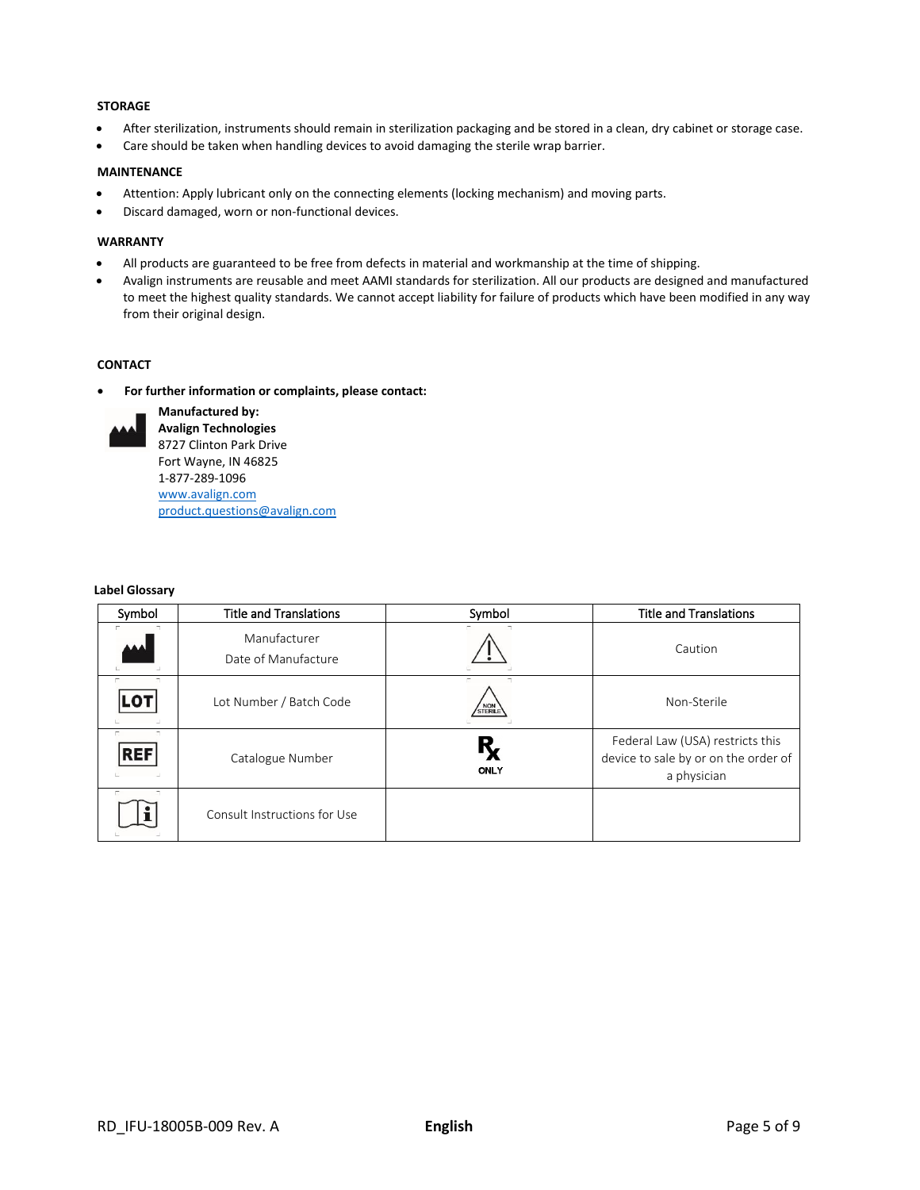# **STORAGE**

- After sterilization, instruments should remain in sterilization packaging and be stored in a clean, dry cabinet or storage case.
- Care should be taken when handling devices to avoid damaging the sterile wrap barrier.

# **MAINTENANCE**

- Attention: Apply lubricant only on the connecting elements (locking mechanism) and moving parts.
- Discard damaged, worn or non-functional devices.

## **WARRANTY**

- All products are guaranteed to be free from defects in material and workmanship at the time of shipping.
- Avalign instruments are reusable and meet AAMI standards for sterilization. All our products are designed and manufactured to meet the highest quality standards. We cannot accept liability for failure of products which have been modified in any way from their original design.

# **CONTACT**

• **For further information or complaints, please contact:**



**Manufactured by: Avalign Technologies** 8727 Clinton Park Drive Fort Wayne, IN 46825 1-877-289-1096 [www.avalign.com](http://www.avalign.com/) [product.questions@avalign.com](mailto:product.questions@avalign.com)

## **Label Glossary**

| Symbol                 | <b>Title and Translations</b>       | Symbol    | <b>Title and Translations</b>                                                           |
|------------------------|-------------------------------------|-----------|-----------------------------------------------------------------------------------------|
| AAA                    | Manufacturer<br>Date of Manufacture |           | Caution                                                                                 |
| $\exists$<br>п.<br>נס. | Lot Number / Batch Code             | STERILE   | Non-Sterile                                                                             |
| π<br><b>REF</b>        | Catalogue Number                    | Ŗ<br>ONLY | Federal Law (USA) restricts this<br>device to sale by or on the order of<br>a physician |
| $\Box$                 | Consult Instructions for Use        |           |                                                                                         |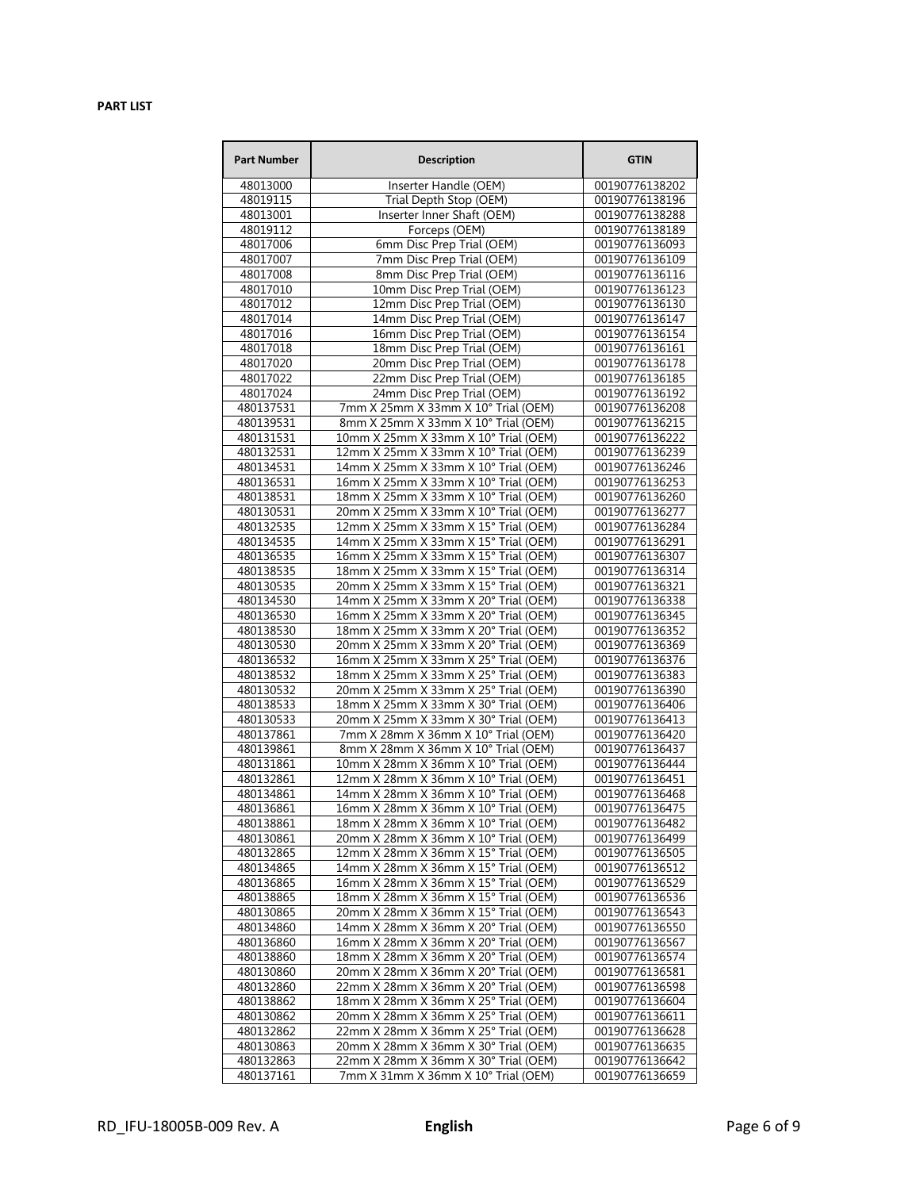# **PART LIST**

| <b>Part Number</b>     | <b>Description</b>                                                           | <b>GTIN</b>                      |
|------------------------|------------------------------------------------------------------------------|----------------------------------|
| 48013000               | Inserter Handle (OEM)                                                        | 00190776138202                   |
| 48019115               | Trial Depth Stop (OEM)                                                       | 00190776138196                   |
| 48013001               | Inserter Inner Shaft (OEM)                                                   | 00190776138288                   |
| 48019112               | Forceps (OEM)                                                                | 00190776138189                   |
| 48017006               | 6mm Disc Prep Trial (OEM)                                                    | 00190776136093                   |
| 48017007               | 7mm Disc Prep Trial (OEM)                                                    | 00190776136109                   |
| 48017008               | 8mm Disc Prep Trial (OEM)                                                    | 00190776136116                   |
| 48017010               | 10mm Disc Prep Trial (OEM)                                                   | 00190776136123                   |
| 48017012               | 12mm Disc Prep Trial (OEM)                                                   | 00190776136130                   |
| 48017014               | 14mm Disc Prep Trial (OEM)                                                   | 00190776136147                   |
| 48017016               | 16mm Disc Prep Trial (OEM)                                                   | 00190776136154                   |
| 48017018               | 18mm Disc Prep Trial (OEM)                                                   | 00190776136161                   |
| 48017020               | 20mm Disc Prep Trial (OEM)                                                   | 00190776136178                   |
| 48017022               | 22mm Disc Prep Trial (OEM)                                                   | 00190776136185                   |
| 48017024               | 24mm Disc Prep Trial (OEM)                                                   | 00190776136192                   |
| 480137531              | 7mm X 25mm X 33mm X 10° Trial (OEM)                                          | 00190776136208                   |
| 480139531              | 8mm X 25mm X 33mm X 10° Trial (OEM)                                          | 00190776136215                   |
| 480131531              | 10mm X 25mm X 33mm X 10° Trial (OEM)                                         | 00190776136222                   |
| 480132531              | 12mm X 25mm X 33mm X 10° Trial (OEM)                                         | 00190776136239                   |
| 480134531              | 14mm X 25mm X 33mm X 10° Trial (OEM)                                         | 00190776136246                   |
| 480136531              | 16mm X 25mm X 33mm X 10° Trial (OEM)                                         | 00190776136253                   |
| 480138531              | 18mm X 25mm X 33mm X 10° Trial (OEM)                                         | 00190776136260                   |
| 480130531              | 20mm X 25mm X 33mm X 10° Trial (OEM)                                         | 00190776136277                   |
| 480132535              | 12mm X 25mm X 33mm X 15° Trial (OEM)                                         | 00190776136284                   |
| 480134535              | 14mm X 25mm X 33mm X 15° Trial (OEM)                                         | 00190776136291<br>00190776136307 |
| 480136535              | 16mm X 25mm X 33mm X 15° Trial (OEM)                                         | 00190776136314                   |
| 480138535<br>480130535 | 18mm X 25mm X 33mm X 15° Trial (OEM)<br>20mm X 25mm X 33mm X 15° Trial (OEM) | 00190776136321                   |
| 480134530              | 14mm X 25mm X 33mm X 20° Trial (OEM)                                         | 00190776136338                   |
| 480136530              | 16mm X 25mm X 33mm X 20° Trial (OEM)                                         | 00190776136345                   |
| 480138530              | 18mm X 25mm X 33mm X 20° Trial (OEM)                                         | 00190776136352                   |
| 480130530              | 20mm X 25mm X 33mm X 20° Trial (OEM)                                         | 00190776136369                   |
| 480136532              | 16mm X 25mm X 33mm X 25° Trial (OEM)                                         | 00190776136376                   |
| 480138532              | 18mm X 25mm X 33mm X 25° Trial (OEM)                                         | 00190776136383                   |
| 480130532              | 20mm X 25mm X 33mm X 25° Trial (OEM)                                         | 00190776136390                   |
| 480138533              | 18mm X 25mm X 33mm X 30° Trial (OEM)                                         | 00190776136406                   |
| 480130533              | 20mm X 25mm X 33mm X 30° Trial (OEM)                                         | 00190776136413                   |
| 480137861              | 7mm X 28mm X 36mm X 10° Trial (OEM)                                          | 00190776136420                   |
| 480139861              | 8mm X 28mm X 36mm X 10° Trial (OEM)                                          | 00190776136437                   |
| 480131861              | 10mm X 28mm X 36mm X 10° Trial (OEM)                                         | 00190776136444                   |
| 480132861              | 12mm X 28mm X 36mm X 10° Trial (OEM)                                         | 00190776136451                   |
| 480134861              | 14mm X 28mm X 36mm X 10° Trial (OEM)                                         | 00190776136468                   |
| 480136861              | 16mm X 28mm X 36mm X 10° Trial (OEM)                                         | 00190776136475                   |
| 480138861              | 18mm X 28mm X 36mm X 10° Trial (OEM)                                         | 00190776136482                   |
| 480130861              | 20mm X 28mm X 36mm X 10° Trial (OEM)                                         | 00190776136499                   |
| 480132865              | 12mm X 28mm X 36mm X 15° Trial (OEM)                                         | 00190776136505                   |
| 480134865              | 14mm X 28mm X 36mm X 15° Trial (OEM)                                         | 00190776136512                   |
| 480136865              | 16mm X 28mm X 36mm X 15° Trial (OEM)                                         | 00190776136529                   |
| 480138865              | 18mm X 28mm X 36mm X 15° Trial (OEM)                                         | 00190776136536                   |
| 480130865              | 20mm X 28mm X 36mm X 15° Trial (OEM)                                         | 00190776136543                   |
| 480134860<br>480136860 | 14mm X 28mm X 36mm X 20° Trial (OEM)<br>16mm X 28mm X 36mm X 20° Trial (OEM) | 00190776136550<br>00190776136567 |
| 480138860              | 18mm X 28mm X 36mm X 20° Trial (OEM)                                         | 00190776136574                   |
| 480130860              | 20mm X 28mm X 36mm X 20° Trial (OEM)                                         | 00190776136581                   |
| 480132860              | 22mm X 28mm X 36mm X 20° Trial (OEM)                                         | 00190776136598                   |
| 480138862              | 18mm X 28mm X 36mm X 25° Trial (OEM)                                         | 00190776136604                   |
| 480130862              | 20mm X 28mm X 36mm X 25° Trial (OEM)                                         | 00190776136611                   |
| 480132862              | 22mm X 28mm X 36mm X 25° Trial (OEM)                                         | 00190776136628                   |
| 480130863              | 20mm X 28mm X 36mm X 30° Trial (OEM)                                         | 00190776136635                   |
| 480132863              | 22mm X 28mm X 36mm X 30° Trial (OEM)                                         | 00190776136642                   |
| 480137161              | 7mm X 31mm X 36mm X 10° Trial (OEM)                                          | 00190776136659                   |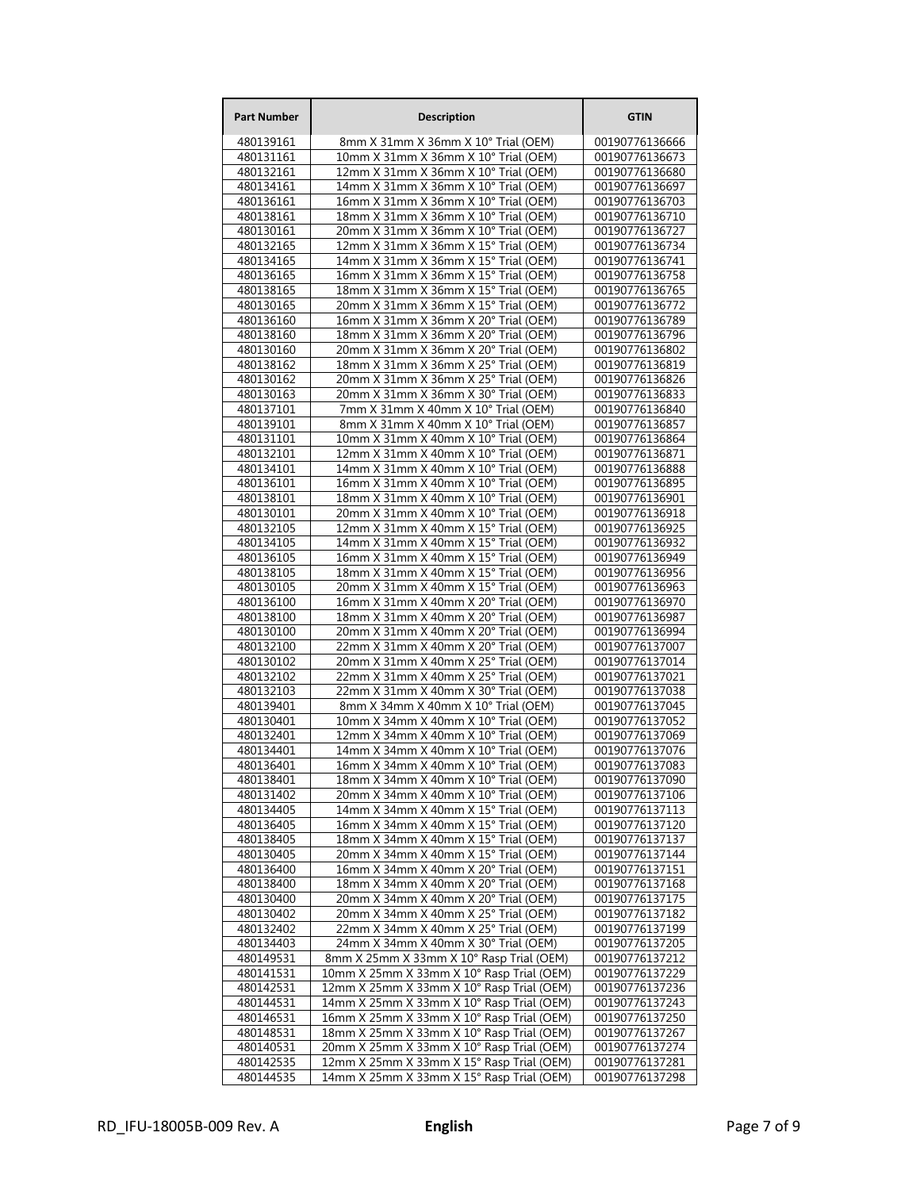| <b>Part Number</b>     | <b>Description</b>                                                                     | <b>GTIN</b>                      |
|------------------------|----------------------------------------------------------------------------------------|----------------------------------|
| 480139161              | 8mm X 31mm X 36mm X 10° Trial (OEM)                                                    | 00190776136666                   |
| 480131161              | 10mm X 31mm X 36mm X 10° Trial (OEM)                                                   | 00190776136673                   |
| 480132161              | 12mm X 31mm X 36mm X 10° Trial (OEM)                                                   | 00190776136680                   |
| 480134161              | 14mm X 31mm X 36mm X 10° Trial (OEM)                                                   | 00190776136697                   |
| 480136161              | 16mm X 31mm X 36mm X 10° Trial (OEM)                                                   | 00190776136703                   |
| 480138161<br>480130161 | 18mm X 31mm X 36mm X 10° Trial (OEM)<br>20mm X 31mm X 36mm X 10° Trial (OEM)           | 00190776136710<br>00190776136727 |
| 480132165              | 12mm X 31mm X 36mm X 15° Trial (OEM)                                                   | 00190776136734                   |
| 480134165              | 14mm X 31mm X 36mm X 15° Trial (OEM)                                                   | 00190776136741                   |
| 480136165              | 16mm X 31mm X 36mm X 15° Trial (OEM)                                                   | 00190776136758                   |
| 480138165              | 18mm X 31mm X 36mm X 15° Trial (OEM)                                                   | 00190776136765                   |
| 480130165              | 20mm X 31mm X 36mm X 15° Trial (OEM)                                                   | 00190776136772                   |
| 480136160              | 16mm X 31mm X 36mm X 20° Trial (OEM)                                                   | 00190776136789                   |
| 480138160              | 18mm X 31mm X 36mm X 20° Trial (OEM)                                                   | 00190776136796                   |
| 480130160<br>480138162 | 20mm X 31mm X 36mm X 20° Trial (OEM)<br>18mm X 31mm X 36mm X 25° Trial (OEM)           | 00190776136802<br>00190776136819 |
| 480130162              | 20mm X 31mm X 36mm X 25° Trial (OEM)                                                   | 00190776136826                   |
| 480130163              | 20mm X 31mm X 36mm X 30° Trial (OEM)                                                   | 00190776136833                   |
| 480137101              | 7mm X 31mm X 40mm X 10° Trial (OEM)                                                    | 00190776136840                   |
| 480139101              | 8mm X 31mm X 40mm X 10° Trial (OEM)                                                    | 00190776136857                   |
| 480131101              | 10mm X 31mm X 40mm X 10° Trial (OEM)                                                   | 00190776136864                   |
| 480132101              | 12mm X 31mm X 40mm X 10° Trial (OEM)                                                   | 00190776136871                   |
| 480134101              | 14mm X 31mm X 40mm X 10° Trial (OEM)                                                   | 00190776136888                   |
| 480136101<br>480138101 | 16mm X 31mm X 40mm X 10° Trial (OEM)<br>18mm X 31mm X 40mm X 10° Trial (OEM)           | 00190776136895<br>00190776136901 |
| 480130101              | 20mm X 31mm X 40mm X 10° Trial (OEM)                                                   | 00190776136918                   |
| 480132105              | 12mm X 31mm X 40mm X 15° Trial (OEM)                                                   | 00190776136925                   |
| 480134105              | 14mm X 31mm X 40mm X 15° Trial (OEM)                                                   | 00190776136932                   |
| 480136105              | 16mm X 31mm X 40mm X 15° Trial (OEM)                                                   | 00190776136949                   |
| 480138105              | 18mm X 31mm X 40mm X 15° Trial (OEM)                                                   | 00190776136956                   |
| 480130105              | 20mm X 31mm X 40mm X 15° Trial (OEM)                                                   | 00190776136963                   |
| 480136100              | 16mm X 31mm X 40mm X 20° Trial (OEM)                                                   | 00190776136970                   |
| 480138100              | 18mm X 31mm X 40mm X 20° Trial (OEM)<br>20mm X 31mm X 40mm X 20° Trial (OEM)           | 00190776136987                   |
| 480130100<br>480132100 | 22mm X 31mm X 40mm X 20° Trial (OEM)                                                   | 00190776136994<br>00190776137007 |
| 480130102              | 20mm X 31mm X 40mm X 25° Trial (OEM)                                                   | 00190776137014                   |
| 480132102              | 22mm X 31mm X 40mm X 25° Trial (OEM)                                                   | 00190776137021                   |
| 480132103              | 22mm X 31mm X 40mm X 30° Trial (OEM)                                                   | 00190776137038                   |
| 480139401              | 8mm X 34mm X 40mm X 10° Trial (OEM)                                                    | 00190776137045                   |
| 480130401              | 10mm X 34mm X 40mm X 10° Trial (OEM)                                                   | 00190776137052                   |
| 480132401              | 12mm X 34mm X 40mm X 10° Trial (OEM)                                                   | 00190776137069                   |
| 480134401              | 14mm X 34mm X 40mm X 10° Trial (OEM)                                                   | 00190776137076<br>00190776137083 |
| 480136401<br>480138401 | 16mm X 34mm X 40mm X 10° Trial (OEM)<br>18mm X 34mm X 40mm X 10° Trial (OEM)           | 00190776137090                   |
| 480131402              | 20mm X 34mm X 40mm X 10° Trial (OEM)                                                   | 00190776137106                   |
| 480134405              | 14mm X 34mm X 40mm X 15° Trial (OEM)                                                   | 00190776137113                   |
| 480136405              | 16mm X 34mm X 40mm X 15° Trial (OEM)                                                   | 00190776137120                   |
| 480138405              | 18mm X 34mm X 40mm X 15° Trial (OEM)                                                   | 00190776137137                   |
| 480130405              | 20mm X 34mm X 40mm X 15° Trial (OEM)                                                   | 00190776137144                   |
| 480136400              | 16mm X 34mm X 40mm X 20° Trial (OEM)                                                   | 00190776137151                   |
| 480138400              | 18mm X 34mm X 40mm X 20° Trial (OEM)<br>20mm X 34mm X 40mm X 20° Trial (OEM)           | 00190776137168                   |
| 480130400<br>480130402 | 20mm X 34mm X 40mm X 25° Trial (OEM)                                                   | 00190776137175<br>00190776137182 |
| 480132402              | 22mm X 34mm X 40mm X 25° Trial (OEM)                                                   | 00190776137199                   |
| 480134403              | 24mm X 34mm X 40mm X 30° Trial (OEM)                                                   | 00190776137205                   |
| 480149531              | 8mm X 25mm X 33mm X 10° Rasp Trial (OEM)                                               | 00190776137212                   |
| 480141531              | 10mm X 25mm X 33mm X 10° Rasp Trial (OEM)                                              | 00190776137229                   |
| 480142531              | 12mm X 25mm X 33mm X 10° Rasp Trial (OEM)                                              | 00190776137236                   |
| 480144531              | 14mm X 25mm X 33mm X 10° Rasp Trial (OEM)                                              | 00190776137243                   |
| 480146531              | 16mm X 25mm X 33mm X 10° Rasp Trial (OEM)                                              | 00190776137250                   |
| 480148531<br>480140531 | 18mm X 25mm X 33mm X 10° Rasp Trial (OEM)<br>20mm X 25mm X 33mm X 10° Rasp Trial (OEM) | 00190776137267<br>00190776137274 |
| 480142535              | 12mm X 25mm X 33mm X 15° Rasp Trial (OEM)                                              | 00190776137281                   |
| 480144535              | 14mm X 25mm X 33mm X 15° Rasp Trial (OEM)                                              | 00190776137298                   |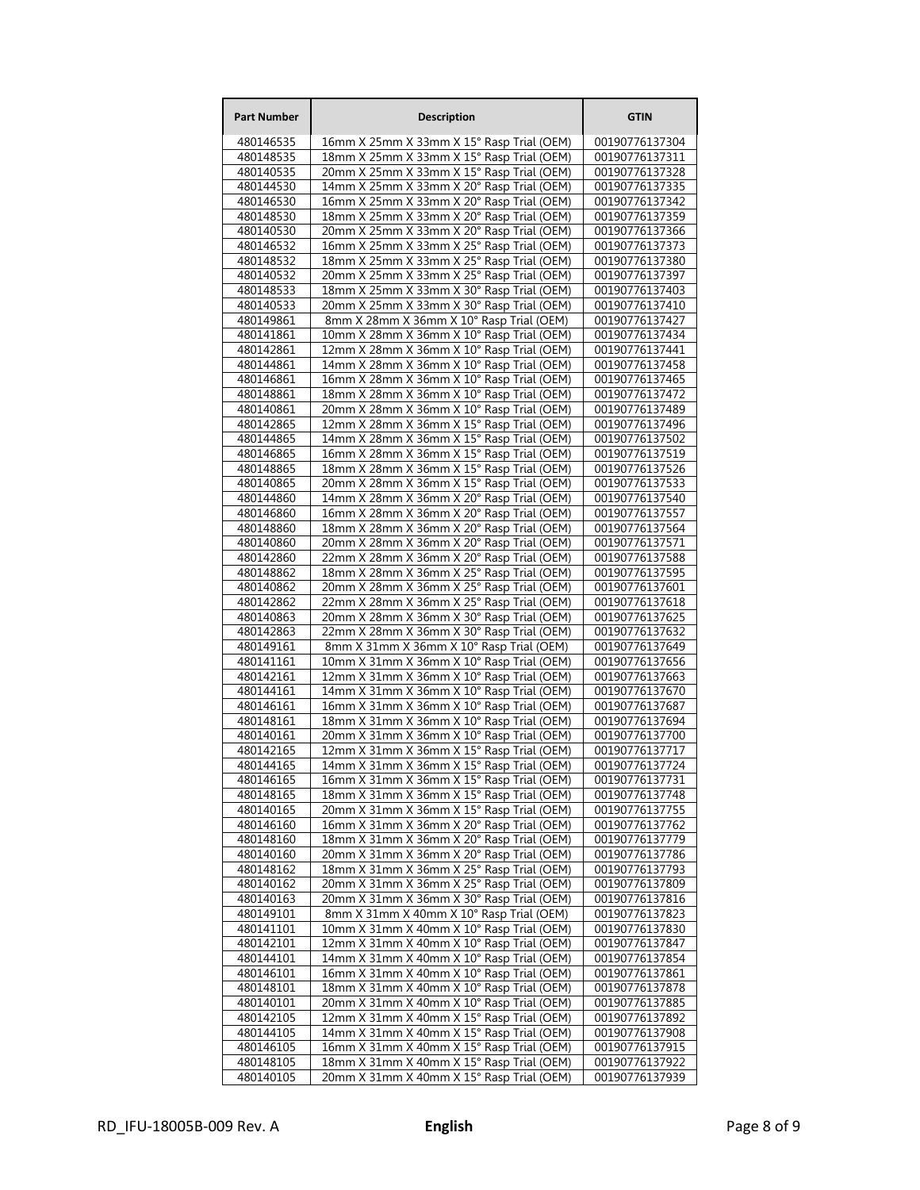| <b>Part Number</b>     | <b>Description</b>                                                                     | <b>GTIN</b>                      |
|------------------------|----------------------------------------------------------------------------------------|----------------------------------|
| 480146535              | 16mm X 25mm X 33mm X 15° Rasp Trial (OEM)                                              | 00190776137304                   |
| 480148535              | 18mm X 25mm X 33mm X 15° Rasp Trial (OEM)                                              | 00190776137311                   |
| 480140535              | 20mm X 25mm X 33mm X 15° Rasp Trial (OEM)                                              | 00190776137328                   |
| 480144530              | 14mm X 25mm X 33mm X 20° Rasp Trial (OEM)                                              | 00190776137335                   |
| 480146530              | 16mm X 25mm X 33mm X 20° Rasp Trial (OEM)                                              | 00190776137342                   |
| 480148530              | 18mm X 25mm X 33mm X 20° Rasp Trial (OEM)                                              | 00190776137359                   |
| 480140530              | 20mm X 25mm X 33mm X 20° Rasp Trial (OEM)                                              | 00190776137366                   |
| 480146532              | 16mm X 25mm X 33mm X 25° Rasp Trial (OEM)                                              | 00190776137373                   |
| 480148532<br>480140532 | 18mm X 25mm X 33mm X 25° Rasp Trial (OEM)<br>20mm X 25mm X 33mm X 25° Rasp Trial (OEM) | 00190776137380<br>00190776137397 |
| 480148533              | 18mm X 25mm X 33mm X 30° Rasp Trial (OEM)                                              | 00190776137403                   |
| 480140533              | 20mm X 25mm X 33mm X 30° Rasp Trial (OEM)                                              | 00190776137410                   |
| 480149861              | 8mm X 28mm X 36mm X 10° Rasp Trial (OEM)                                               | 00190776137427                   |
| 480141861              | 10mm X 28mm X 36mm X 10° Rasp Trial (OEM)                                              | 00190776137434                   |
| 480142861              | 12mm X 28mm X 36mm X 10° Rasp Trial (OEM)                                              | 00190776137441                   |
| 480144861              | 14mm X 28mm X 36mm X 10° Rasp Trial (OEM)                                              | 00190776137458                   |
| 480146861              | 16mm X 28mm X 36mm X 10° Rasp Trial (OEM)                                              | 00190776137465                   |
| 480148861              | 18mm X 28mm X 36mm X 10° Rasp Trial (OEM)                                              | 00190776137472                   |
| 480140861              | 20mm X 28mm X 36mm X 10° Rasp Trial (OEM)                                              | 00190776137489                   |
| 480142865              | 12mm X 28mm X 36mm X 15° Rasp Trial (OEM)                                              | 00190776137496                   |
| 480144865<br>480146865 | 14mm X 28mm X 36mm X 15° Rasp Trial (OEM)<br>16mm X 28mm X 36mm X 15° Rasp Trial (OEM) | 00190776137502<br>00190776137519 |
| 480148865              | 18mm X 28mm X 36mm X 15° Rasp Trial (OEM)                                              | 00190776137526                   |
| 480140865              | 20mm X 28mm X 36mm X 15° Rasp Trial (OEM)                                              | 00190776137533                   |
| 480144860              | 14mm X 28mm X 36mm X 20° Rasp Trial (OEM)                                              | 00190776137540                   |
| 480146860              | 16mm X 28mm X 36mm X 20° Rasp Trial (OEM)                                              | 00190776137557                   |
| 480148860              | 18mm X 28mm X 36mm X 20° Rasp Trial (OEM)                                              | 00190776137564                   |
| 480140860              | 20mm X 28mm X 36mm X 20° Rasp Trial (OEM)                                              | 00190776137571                   |
| 480142860              | 22mm X 28mm X 36mm X 20° Rasp Trial (OEM)                                              | 00190776137588                   |
| 480148862              | 18mm X 28mm X 36mm X 25° Rasp Trial (OEM)                                              | 00190776137595                   |
| 480140862              | 20mm X 28mm X 36mm X 25° Rasp Trial (OEM)                                              | 00190776137601                   |
| 480142862              | 22mm X 28mm X 36mm X 25° Rasp Trial (OEM)                                              | 00190776137618                   |
| 480140863              | 20mm X 28mm X 36mm X 30° Rasp Trial (OEM)                                              | 00190776137625                   |
| 480142863<br>480149161 | 22mm X 28mm X 36mm X 30° Rasp Trial (OEM)<br>8mm X 31mm X 36mm X 10° Rasp Trial (OEM)  | 00190776137632<br>00190776137649 |
| 480141161              | 10mm X 31mm X 36mm X 10° Rasp Trial (OEM)                                              | 00190776137656                   |
| 480142161              | 12mm X 31mm X 36mm X 10° Rasp Trial (OEM)                                              | 00190776137663                   |
| 480144161              | 14mm X 31mm X 36mm X 10° Rasp Trial (OEM)                                              | 00190776137670                   |
| 480146161              | 16mm X 31mm X 36mm X 10° Rasp Trial (OEM)                                              | 00190776137687                   |
| 480148161              | 18mm X 31mm X 36mm X 10° Rasp Trial (OEM)                                              | 00190776137694                   |
| 480140161              | 20mm X 31mm X 36mm X 10° Rasp Trial (OEM)                                              | 00190776137700                   |
| 480142165              | 12mm X 31mm X 36mm X 15° Rasp Trial (OEM)                                              | 00190776137717                   |
| 480144165              | 14mm X 31mm X 36mm X 15° Rasp Trial (OEM)                                              | 00190776137724                   |
| 480146165              | 16mm X 31mm X 36mm X 15° Rasp Trial (OEM)                                              | 00190776137731                   |
| 480148165<br>480140165 | 18mm X 31mm X 36mm X 15° Rasp Trial (OEM)<br>20mm X 31mm X 36mm X 15° Rasp Trial (OEM) | 00190776137748<br>00190776137755 |
| 480146160              | 16mm X 31mm X 36mm X 20° Rasp Trial (OEM)                                              | 00190776137762                   |
| 480148160              | 18mm X 31mm X 36mm X 20° Rasp Trial (OEM)                                              | 00190776137779                   |
| 480140160              | 20mm X 31mm X 36mm X 20° Rasp Trial (OEM)                                              | 00190776137786                   |
| 480148162              | 18mm X 31mm X 36mm X 25° Rasp Trial (OEM)                                              | 00190776137793                   |
| 480140162              | 20mm X 31mm X 36mm X 25° Rasp Trial (OEM)                                              | 00190776137809                   |
| 480140163              | 20mm X 31mm X 36mm X 30° Rasp Trial (OEM)                                              | 00190776137816                   |
| 480149101              | 8mm X 31mm X 40mm X 10° Rasp Trial (OEM)                                               | 00190776137823                   |
| 480141101              | 10mm X 31mm X 40mm X 10° Rasp Trial (OEM)                                              | 00190776137830                   |
| 480142101<br>480144101 | 12mm X 31mm X 40mm X 10° Rasp Trial (OEM)                                              | 00190776137847<br>00190776137854 |
| 480146101              | 14mm X 31mm X 40mm X 10° Rasp Trial (OEM)<br>16mm X 31mm X 40mm X 10° Rasp Trial (OEM) | 00190776137861                   |
| 480148101              | 18mm X 31mm X 40mm X 10° Rasp Trial (OEM)                                              | 00190776137878                   |
| 480140101              | 20mm X 31mm X 40mm X 10° Rasp Trial (OEM)                                              | 00190776137885                   |
| 480142105              | 12mm X 31mm X 40mm X 15° Rasp Trial (OEM)                                              | 00190776137892                   |
| 480144105              | 14mm X 31mm X 40mm X 15° Rasp Trial (OEM)                                              | 00190776137908                   |
| 480146105              | 16mm X 31mm X 40mm X 15° Rasp Trial (OEM)                                              | 00190776137915                   |
| 480148105              | 18mm X 31mm X 40mm X 15° Rasp Trial (OEM)                                              | 00190776137922                   |
| 480140105              | 20mm X 31mm X 40mm X 15° Rasp Trial (OEM)                                              | 00190776137939                   |